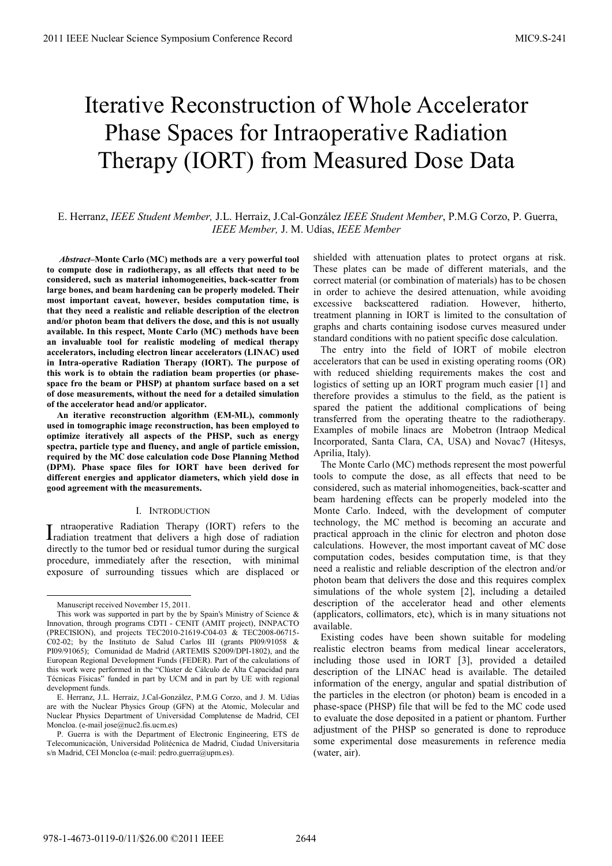# Iterative Reconstruction of Whole Accelerator Phase Spaces for Intraoperative Radiation Therapy (IORT) from Measured Dose Data

# E. Herranz, *IEEE Student Member,* J.L. Herraiz, J.Cal-González *IEEE Student Member*, P.M.G Corzo, P. Guerra, *IEEE Member,* J. M. Udías, *IEEE Member*

 *Abstract–***Monte Carlo (MC) methods are a very powerful tool to compute dose in radiotherapy, as all effects that need to be considered, such as material inhomogeneities, back-scatter from large bones, and beam hardening can be properly modeled. Their most important caveat, however, besides computation time, is that they need a realistic and reliable description of the electron and/or photon beam that delivers the dose, and this is not usually available. In this respect, Monte Carlo (MC) methods have been an invaluable tool for realistic modeling of medical therapy accelerators, including electron linear accelerators (LINAC) used in Intra-operative Radiation Therapy (IORT). The purpose of this work is to obtain the radiation beam properties (or phasespace fro the beam or PHSP) at phantom surface based on a set of dose measurements, without the need for a detailed simulation of the accelerator head and/or applicator.** 

**An iterative reconstruction algorithm (EM-ML), commonly used in tomographic image reconstruction, has been employed to optimize iteratively all aspects of the PHSP, such as energy spectra, particle type and fluency, and angle of particle emission, required by the MC dose calculation code Dose Planning Method (DPM). Phase space files for IORT have been derived for different energies and applicator diameters, which yield dose in good agreement with the measurements.** 

#### I. INTRODUCTION

ntraoperative Radiation Therapy (IORT) refers to the Intraoperative Radiation Therapy (IORT) refers to the radiation treatment that delivers a high dose of radiation directly to the tumor bed or residual tumor during the surgical procedure, immediately after the resection, with minimal exposure of surrounding tissues which are displaced or

-

shielded with attenuation plates to protect organs at risk. These plates can be made of different materials, and the correct material (or combination of materials) has to be chosen in order to achieve the desired attenuation, while avoiding excessive backscattered radiation. However, hitherto, treatment planning in IORT is limited to the consultation of graphs and charts containing isodose curves measured under standard conditions with no patient specific dose calculation.

The entry into the field of IORT of mobile electron accelerators that can be used in existing operating rooms (OR) with reduced shielding requirements makes the cost and logistics of setting up an IORT program much easier [1] and therefore provides a stimulus to the field, as the patient is spared the patient the additional complications of being transferred from the operating theatre to the radiotherapy. Examples of mobile linacs are Mobetron (Intraop Medical Incorporated, Santa Clara, CA, USA) and Novac7 (Hitesys, Aprilia, Italy).

The Monte Carlo (MC) methods represent the most powerful tools to compute the dose, as all effects that need to be considered, such as material inhomogeneities, back-scatter and beam hardening effects can be properly modeled into the Monte Carlo. Indeed, with the development of computer technology, the MC method is becoming an accurate and practical approach in the clinic for electron and photon dose calculations. However, the most important caveat of MC dose computation codes, besides computation time, is that they need a realistic and reliable description of the electron and/or photon beam that delivers the dose and this requires complex simulations of the whole system [2], including a detailed description of the accelerator head and other elements (applicators, collimators, etc), which is in many situations not available.

Existing codes have been shown suitable for modeling realistic electron beams from medical linear accelerators, including those used in IORT [3], provided a detailed description of the LINAC head is available. The detailed information of the energy, angular and spatial distribution of the particles in the electron (or photon) beam is encoded in a phase-space (PHSP) file that will be fed to the MC code used to evaluate the dose deposited in a patient or phantom. Further adjustment of the PHSP so generated is done to reproduce some experimental dose measurements in reference media (water, air).

Manuscript received November 15, 2011.

This work was supported in part by the by Spain's Ministry of Science  $\&$ Innovation, through programs CDTI - CENIT (AMIT project), INNPACTO (PRECISION), and projects TEC2010-21619-C04-03 & TEC2008-06715- C02-02; by the Instituto de Salud Carlos III (grants PI09/91058 & PI09/91065); Comunidad de Madrid (ARTEMIS S2009/DPI-1802), and the European Regional Development Funds (FEDER). Part of the calculations of this work were performed in the "Clúster de Cálculo de Alta Capacidad para Técnicas Físicas" funded in part by UCM and in part by UE with regional development funds.

E. Herranz, J.L. Herraiz, J.Cal-González, P.M.G Corzo, and J. M. Udías are with the Nuclear Physics Group (GFN) at the Atomic, Molecular and Nuclear Physics Department of Universidad Complutense de Madrid, CEI Moncloa. (e-mail jose@nuc2.fis.ucm.es)

P. Guerra is with the Department of Electronic Engineering, ETS de Telecomunicación, Universidad Politécnica de Madrid, Ciudad Universitaria s/n Madrid, CEI Moncloa (e-mail: pedro.guerra@upm.es).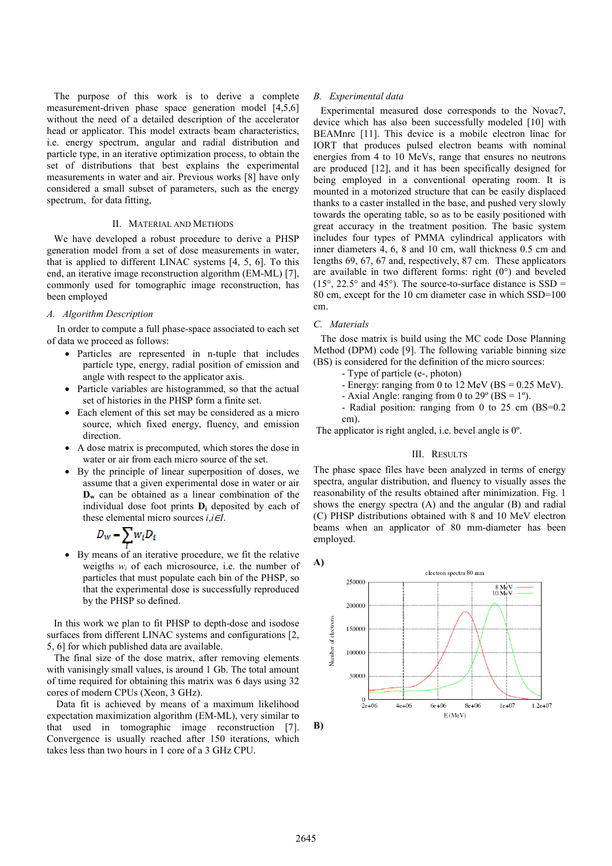The purpose of this work is to derive a complete measurement-driven phase space generation model [4,5,6] without the need of a detailed description of the accelerator head or applicator. This model extracts beam characteristics, i.e. energy spectrum, angular and radial distribution and particle type, in an iterative optimization process, to obtain the set of distributions that best explains the experimental measurements in water and air. Previous works [8] have only considered a small subset of parameters, such as the energy spectrum, for data fitting,

## II. MATERIAL AND METHODS

We have developed a robust procedure to derive a PHSP generation model from a set of dose measurements in water, that is applied to different LINAC systems [4, 5, 6]. To this end, an iterative image reconstruction algorithm (EM-ML) [7], commonly used for tomographic image reconstruction, has been employed

# *A. Algorithm Description*

In order to compute a full phase-space associated to each set of data we proceed as follows:

- Particles are represented in n-tuple that includes particle type, energy, radial position of emission and angle with respect to the applicator axis.
- Particle variables are histogrammed, so that the actual set of histories in the PHSP form a finite set.
- Each element of this set may be considered as a micro source, which fixed energy, fluency, and emission direction.
- A dose matrix is precomputed, which stores the dose in water or air from each micro source of the set.
- By the principle of linear superposition of doses, we assume that a given experimental dose in water or air **D<sub>w</sub>** can be obtained as a linear combination of the individual dose foot prints **D<sup>i</sup>** deposited by each of these elemental micro sources  $i, i \in I$ .

$$
D_w = \sum_l w_l D_l
$$

• By means of an iterative procedure, we fit the relative weigths  $w_i$  of each microsource, i.e. the number of particles that must populate each bin of the PHSP, so that the experimental dose is successfully reproduced by the PHSP so defined.

In this work we plan to fit PHSP to depth-dose and isodose surfaces from different LINAC systems and configurations [2, 5, 6] for which published data are available.

The final size of the dose matrix, after removing elements with vanisingly small values, is around 1 Gb. The total amount of time required for obtaining this matrix was 6 days using 32 cores of modern CPUs (Xeon, 3 GHz).

 Data fit is achieved by means of a maximum likelihood expectation maximization algorithm (EM-ML), very similar to that used in tomographic image reconstruction [7]. Convergence is usually reached after 150 iterations, which takes less than two hours in 1 core of a 3 GHz CPU.

#### *B. Experimental data*

Experimental measured dose corresponds to the Novac7, device which has also been successfully modeled [10] with BEAMnrc [11]. This device is a mobile electron linac for IORT that produces pulsed electron beams with nominal energies from 4 to 10 MeVs, range that ensures no neutrons are produced [12], and it has been specifically designed for being employed in a conventional operating room. It is mounted in a motorized structure that can be easily displaced thanks to a caster installed in the base, and pushed very slowly towards the operating table, so as to be easily positioned with great accuracy in the treatment position. The basic system includes four types of PMMA cylindrical applicators with inner diameters 4, 6, 8 and 10 cm, wall thickness 0.5 cm and lengths 69, 67, 67 and, respectively, 87 cm. These applicators are available in two different forms: right  $(0^{\circ})$  and beveled  $(15^{\circ}, 22.5^{\circ}$  and 45°). The source-to-surface distance is SSD = 80 cm, except for the 10 cm diameter case in which SSD=100 cm.

#### *C. Materials*

The dose matrix is build using the MC code Dose Planning Method (DPM) code [9]. The following variable binning size (BS) is considered for the definition of the micro sources:

- Type of particle (e-, photon)
- Energy: ranging from 0 to 12 MeV (BS =  $0.25$  MeV).
- Axial Angle: ranging from 0 to  $29^{\circ}$  (BS = 1°).
- Radial position: ranging from 0 to 25 cm (BS=0.2 cm).

The applicator is right angled, i.e. bevel angle is 0º.

# III. RESULTS

The phase space files have been analyzed in terms of energy spectra, angular distribution, and fluency to visually asses the reasonability of the results obtained after minimization. Fig. 1 shows the energy spectra (A) and the angular (B) and radial (C) PHSP distributions obtained with 8 and 10 MeV electron beams when an applicator of 80 mm-diameter has been employed.